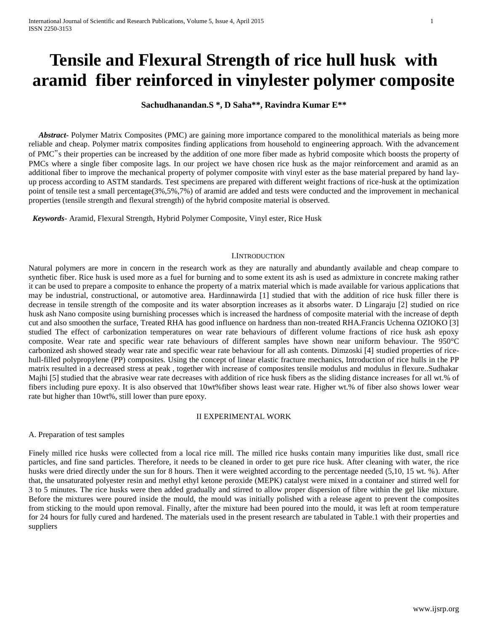# **Tensile and Flexural Strength of rice hull husk with aramid fiber reinforced in vinylester polymer composite**

## **Sachudhanandan.S \*, D Saha\*\*, Ravindra Kumar E\*\***

 *Abstract***-** Polymer Matrix Composites (PMC) are gaining more importance compared to the monolithical materials as being more reliable and cheap. Polymer matrix composites finding applications from household to engineering approach. With the advancement of PMC"s their properties can be increased by the addition of one more fiber made as hybrid composite which boosts the property of PMCs where a single fiber composite lags. In our project we have chosen rice husk as the major reinforcement and aramid as an additional fiber to improve the mechanical property of polymer composite with vinyl ester as the base material prepared by hand layup process according to ASTM standards. Test specimens are prepared with different weight fractions of rice-husk at the optimization point of tensile test a small percentage(3%,5%,7%) of aramid are added and tests were conducted and the improvement in mechanical properties (tensile strength and flexural strength) of the hybrid composite material is observed.

 *Keywords*- Aramid, Flexural Strength, Hybrid Polymer Composite, Vinyl ester, Rice Husk

#### I.INTRODUCTION

Natural polymers are more in concern in the research work as they are naturally and abundantly available and cheap compare to synthetic fiber. Rice husk is used more as a fuel for burning and to some extent its ash is used as admixture in concrete making rather it can be used to prepare a composite to enhance the property of a matrix material which is made available for various applications that may be industrial, constructional, or automotive area. Hardinnawirda [1] studied that with the addition of rice husk filler there is decrease in tensile strength of the composite and its water absorption increases as it absorbs water. D Lingaraju [2] studied on rice husk ash Nano composite using burnishing processes which is increased the hardness of composite material with the increase of depth cut and also smoothen the surface, Treated RHA has good influence on hardness than non-treated RHA.Francis Uchenna OZIOKO [3] studied The effect of carbonization temperatures on wear rate behaviours of different volume fractions of rice husk ash epoxy composite. Wear rate and specific wear rate behaviours of different samples have shown near uniform behaviour. The 950°C carbonized ash showed steady wear rate and specific wear rate behaviour for all ash contents. Dimzoski [4] studied properties of ricehull-filled polypropylene (PP) composites. Using the concept of linear elastic fracture mechanics, Introduction of rice hulls in the PP matrix resulted in a decreased stress at peak , together with increase of composites tensile modulus and modulus in flexure..Sudhakar Majhi [5] studied that the abrasive wear rate decreases with addition of rice husk fibers as the sliding distance increases for all wt.% of fibers including pure epoxy. It is also observed that 10wt%fiber shows least wear rate. Higher wt.% of fiber also shows lower wear rate but higher than 10wt%, still lower than pure epoxy.

#### II EXPERIMENTAL WORK

A. Preparation of test samples

Finely milled rice husks were collected from a local rice mill. The milled rice husks contain many impurities like dust, small rice particles, and fine sand particles. Therefore, it needs to be cleaned in order to get pure rice husk. After cleaning with water, the rice husks were dried directly under the sun for 8 hours. Then it were weighted according to the percentage needed (5,10, 15 wt. %). After that, the unsaturated polyester resin and methyl ethyl ketone peroxide (MEPK) catalyst were mixed in a container and stirred well for 3 to 5 minutes. The rice husks were then added gradually and stirred to allow proper dispersion of fibre within the gel like mixture. Before the mixtures were poured inside the mould, the mould was initially polished with a release agent to prevent the composites from sticking to the mould upon removal. Finally, after the mixture had been poured into the mould, it was left at room temperature for 24 hours for fully cured and hardened. The materials used in the present research are tabulated in Table.1 with their properties and suppliers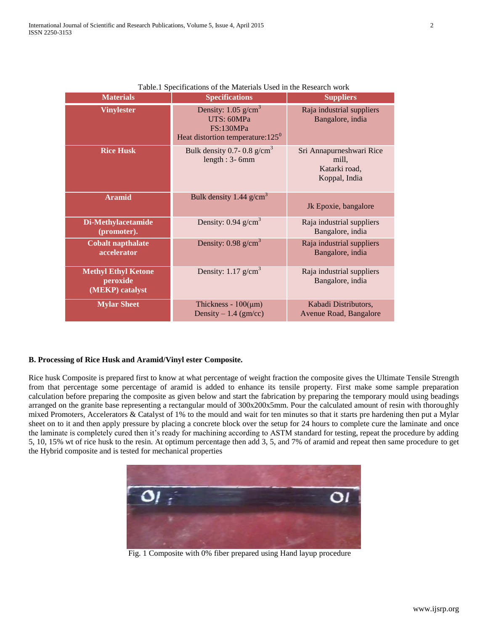| <b>Materials</b>                                          | <b>Specifications</b>                                                                                      | <b>Suppliers</b>                                                    |
|-----------------------------------------------------------|------------------------------------------------------------------------------------------------------------|---------------------------------------------------------------------|
| <b>Vinylester</b>                                         | Density: $1.05$ g/cm <sup>3</sup><br>UTS: 60MPa<br>FS:130MPa<br>Heat distortion temperature: $125^{\circ}$ | Raja industrial suppliers<br>Bangalore, india                       |
| <b>Rice Husk</b>                                          | Bulk density 0.7- 0.8 $g/cm3$<br>length : $3-6$ mm                                                         | Sri Annapurneshwari Rice<br>mill,<br>Katarki road,<br>Koppal, India |
| <b>Aramid</b>                                             | Bulk density 1.44 $g/cm3$                                                                                  | Jk Epoxie, bangalore                                                |
| Di-Methylacetamide<br>(promoter).                         | Density: $0.94$ g/cm <sup>3</sup>                                                                          | Raja industrial suppliers<br>Bangalore, india                       |
| <b>Cobalt napthalate</b><br>accelerator                   | Density: $0.98$ g/cm <sup>3</sup>                                                                          | Raja industrial suppliers<br>Bangalore, india                       |
| <b>Methyl Ethyl Ketone</b><br>peroxide<br>(MEKP) catalyst | Density: $1.17$ g/cm <sup>3</sup>                                                                          | Raja industrial suppliers<br>Bangalore, india                       |
| <b>Mylar Sheet</b>                                        | Thickness - $100(\mu m)$<br>Density $-1.4$ (gm/cc)                                                         | Kabadi Distributors,<br>Avenue Road, Bangalore                      |

| Table.1 Specifications of the Materials Used in the Research work |  |
|-------------------------------------------------------------------|--|
|-------------------------------------------------------------------|--|

# **B. Processing of Rice Husk and Aramid/Vinyl ester Composite.**

Rice husk Composite is prepared first to know at what percentage of weight fraction the composite gives the Ultimate Tensile Strength from that percentage some percentage of aramid is added to enhance its tensile property. First make some sample preparation calculation before preparing the composite as given below and start the fabrication by preparing the temporary mould using beadings arranged on the granite base representing a rectangular mould of 300x200x5mm. Pour the calculated amount of resin with thoroughly mixed Promoters, Accelerators & Catalyst of 1% to the mould and wait for ten minutes so that it starts pre hardening then put a Mylar sheet on to it and then apply pressure by placing a concrete block over the setup for 24 hours to complete cure the laminate and once the laminate is completely cured then it's ready for machining according to ASTM standard for testing, repeat the procedure by adding 5, 10, 15% wt of rice husk to the resin. At optimum percentage then add 3, 5, and 7% of aramid and repeat then same procedure to get the Hybrid composite and is tested for mechanical properties



Fig. 1 Composite with 0% fiber prepared using Hand layup procedure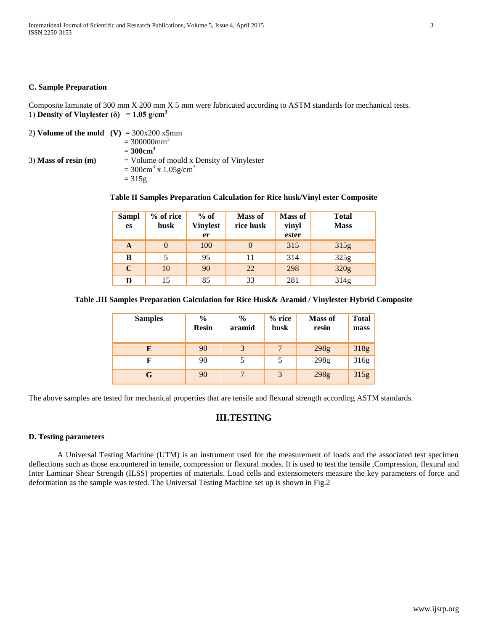## **C. Sample Preparation**

Composite laminate of 300 mm X 200 mm X 5 mm were fabricated according to ASTM standards for mechanical tests. 1) **Density of Vinylester (** $\delta$ **)** = 1.05 g/cm<sup>3</sup>

| 2) Volume of the mold $(V) = 300x200x5mm$ |                                                   |
|-------------------------------------------|---------------------------------------------------|
|                                           | $=300000$ mm <sup>3</sup>                         |
|                                           | $=300$ cm <sup>3</sup>                            |
| $3)$ Mass of resin $(m)$                  | $=$ Volume of mould x Density of Vinylester       |
|                                           | $= 300 \text{cm}^3 \text{ x } 1.05 \text{g/cm}^3$ |
|                                           | $= 315g$                                          |
|                                           |                                                   |

## **Table II Samples Preparation Calculation for Rice husk/Vinyl ester Composite**

| <b>Sampl</b><br>es | $%$ of rice<br>husk | $%$ of<br><b>Vinylest</b><br>er | <b>Mass of</b><br>rice husk | <b>Mass of</b><br>vinyl<br>ester | <b>Total</b><br><b>Mass</b> |
|--------------------|---------------------|---------------------------------|-----------------------------|----------------------------------|-----------------------------|
| A                  |                     | 100                             |                             | 315                              | 315g                        |
| В                  |                     | 95                              | 11                          | 314                              | 325g                        |
| $\mathbf C$        | 10                  | 90                              | 22                          | 298                              | 320g                        |
| D                  | 15                  | 85                              | 33                          | 281                              | 314g                        |

## **Table .III Samples Preparation Calculation for Rice Husk& Aramid / Vinylester Hybrid Composite**

| <b>Samples</b> | $\frac{6}{9}$<br><b>Resin</b> | $\frac{0}{0}$<br>aramid | $%$ rice<br>husk | <b>Mass of</b><br>resin | <b>Total</b><br>mass |
|----------------|-------------------------------|-------------------------|------------------|-------------------------|----------------------|
| E              | 90                            | 3                       |                  | 298g                    | 318g                 |
| F              | 90                            |                         |                  | 298g                    | 316g                 |
| G              | 90                            | $\mathbf{r}$            | 3                | 298g                    | 315g                 |

The above samples are tested for mechanical properties that are tensile and flexural strength according ASTM standards.

# **III.TESTING**

#### **D. Testing parameters**

A Universal Testing Machine (UTM) is an instrument used for the measurement of loads and the associated test specimen deflections such as those encountered in tensile, compression or flexural modes. It is used to test the tensile ,Compression, flexural and Inter Laminar Shear Strength (ILSS) properties of materials. Load cells and extensometers measure the key parameters of force and deformation as the sample was tested. The Universal Testing Machine set up is shown in Fig.2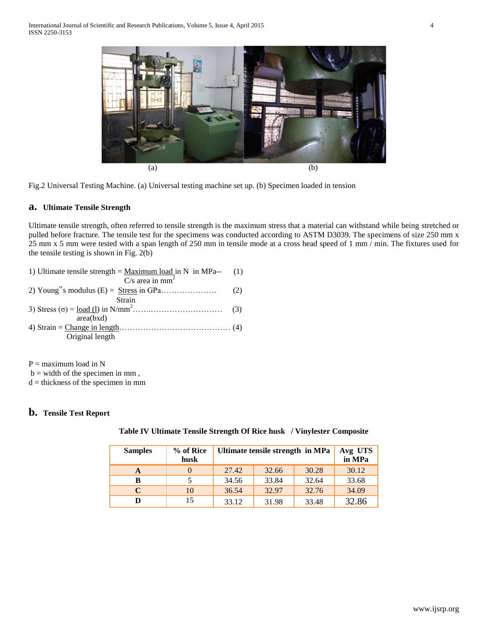



## **a. Ultimate Tensile Strength**

Ultimate tensile strength, often referred to tensile strength is the maximum stress that a material can withstand while being stretched or pulled before fracture. The tensile test for the specimens was conducted according to ASTM D3039. The specimens of size 250 mm x 25 mm x 5 mm were tested with a span length of 250 mm in tensile mode at a cross head speed of 1 mm / min. The fixtures used for the tensile testing is shown in Fig. 2(b)

 $P =$  maximum load in N

 $b =$  width of the specimen in mm,

 $d =$  thickness of the specimen in mm

## **b. Tensile Test Report**

**Table IV Ultimate Tensile Strength Of Rice husk / Vinylester Composite**

| <b>Samples</b> | % of Rice<br>husk | Ultimate tensile strength in MPa | Avg UTS<br>in MPa |       |       |
|----------------|-------------------|----------------------------------|-------------------|-------|-------|
| A              | $\Omega$          | 27.42                            | 32.66             | 30.28 | 30.12 |
| в              |                   | 34.56                            | 33.84             | 32.64 | 33.68 |
| C              | 10                | 36.54                            | 32.97             | 32.76 | 34.09 |
| D              | 15                | 33.12                            | 31.98             | 33.48 | 32.86 |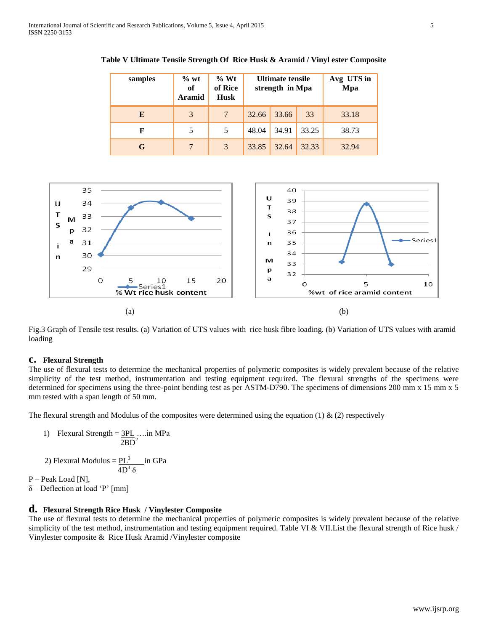| samples | $\%$ wt<br>of<br><b>Aramid</b> | % Wt<br>of Rice<br><b>Husk</b> | Ultimate tensile<br>strength in Mpa |       | Avg UTS in<br>Mpa |       |
|---------|--------------------------------|--------------------------------|-------------------------------------|-------|-------------------|-------|
| E       | 3                              | $\overline{7}$                 | 32.66                               | 33.66 | 33                | 33.18 |
| F       | 5                              | 5                              | 48.04                               | 34.91 | 33.25             | 38.73 |
| G       | $\overline{7}$                 | 3                              | 33.85                               | 32.64 | 32.33             | 32.94 |

**Table V Ultimate Tensile Strength Of Rice Husk & Aramid / Vinyl ester Composite**



Fig.3 Graph of Tensile test results. (a) Variation of UTS values with rice husk fibre loading. (b) Variation of UTS values with aramid loading

#### **c. Flexural Strength**

The use of flexural tests to determine the mechanical properties of polymeric composites is widely prevalent because of the relative simplicity of the test method, instrumentation and testing equipment required. The flexural strengths of the specimens were determined for specimens using the three-point bending test as per ASTM-D790. The specimens of dimensions 200 mm x 15 mm x 5 mm tested with a span length of 50 mm.

The flexural strength and Modulus of the composites were determined using the equation  $(1) \& (2)$  respectively

1) Flexural Strength = 
$$
\frac{3PL}{2BD^2}
$$
....in MPa

2) Flexural Modulus  $=$   $PL^3$  in GPa  $4D^3$  δ

P – Peak Load [N],

δ – Deflection at load 'P' [mm]

## **d. Flexural Strength Rice Husk / Vinylester Composite**

The use of flexural tests to determine the mechanical properties of polymeric composites is widely prevalent because of the relative simplicity of the test method, instrumentation and testing equipment required. Table VI & VII.List the flexural strength of Rice husk / Vinylester composite & Rice Husk Aramid /Vinylester composite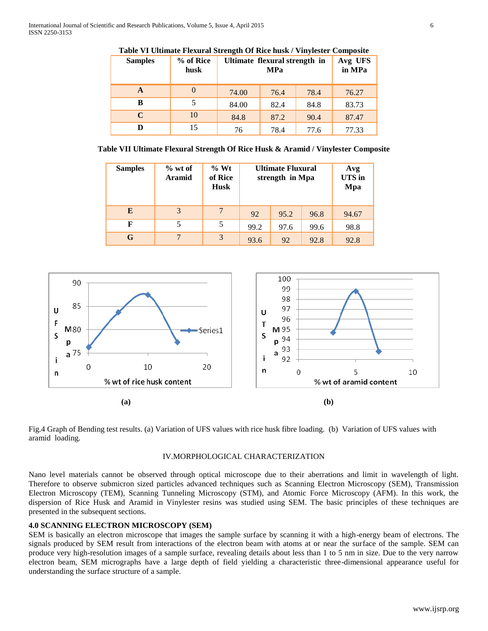| <b>Samples</b> | % of Rice<br>husk |       | Ultimate flexural strength in<br><b>MPa</b> |      |       |
|----------------|-------------------|-------|---------------------------------------------|------|-------|
| A              |                   | 74.00 | 76.4                                        | 78.4 | 76.27 |
| B              |                   | 84.00 | 82.4                                        | 84.8 | 83.73 |
| $\mathbf C$    | 10                | 84.8  | 87.2                                        | 90.4 | 87.47 |
| D              | 15                | 76    | 78.4                                        | 77.6 | 77.33 |

**Table VI Ultimate Flexural Strength Of Rice husk / Vinylester Composite**

**Table VII Ultimate Flexural Strength Of Rice Husk & Aramid / Vinylester Composite**

| <b>Samples</b> | $%$ wt of<br><b>Aramid</b> | % Wt<br>of Rice<br><b>Husk</b> |      | <b>Ultimate Fluxural</b><br>strength in Mpa |      | Avg<br><b>UTS</b> in<br>Mpa |
|----------------|----------------------------|--------------------------------|------|---------------------------------------------|------|-----------------------------|
| E              | 3                          | 7                              | 92   | 95.2                                        | 96.8 | 94.67                       |
| F              | 5                          | 5                              | 99.2 | 97.6                                        | 99.6 | 98.8                        |
| G              | 7                          | 3                              | 93.6 | 92                                          | 92.8 | 92.8                        |



Fig.4 Graph of Bending test results. (a) Variation of UFS values with rice husk fibre loading. (b) Variation of UFS values with aramid loading.

#### IV.MORPHOLOGICAL CHARACTERIZATION

Nano level materials cannot be observed through optical microscope due to their aberrations and limit in wavelength of light. Therefore to observe submicron sized particles advanced techniques such as Scanning Electron Microscopy (SEM), Transmission Electron Microscopy (TEM), Scanning Tunneling Microscopy (STM), and Atomic Force Microscopy (AFM). In this work, the dispersion of Rice Husk and Aramid in Vinylester resins was studied using SEM. The basic principles of these techniques are presented in the subsequent sections.

## **4.0 SCANNING ELECTRON MICROSCOPY (SEM)**

SEM is basically an electron microscope that images the sample surface by scanning it with a high-energy beam of electrons. The signals produced by SEM result from interactions of the electron beam with atoms at or near the surface of the sample. SEM can produce very high-resolution images of a sample surface, revealing details about less than 1 to 5 nm in size. Due to the very narrow electron beam, SEM micrographs have a large depth of field yielding a characteristic three-dimensional appearance useful for understanding the surface structure of a sample.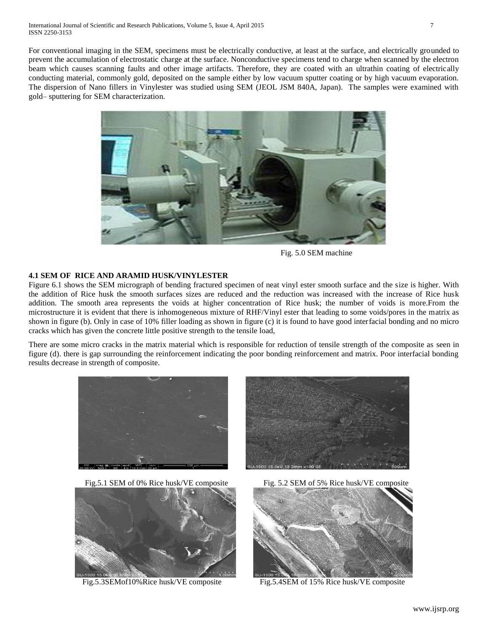For conventional imaging in the SEM, specimens must be electrically conductive, at least at the surface, and electrically grounded to prevent the accumulation of electrostatic charge at the surface. Nonconductive specimens tend to charge when scanned by the electron beam which causes scanning faults and other image artifacts. Therefore, they are coated with an ultrathin coating of electrically conducting material, commonly gold, deposited on the sample either by low vacuum sputter coating or by high vacuum evaporation. The dispersion of Nano fillers in Vinylester was studied using SEM (JEOL JSM 840A, Japan). The samples were examined with gold– sputtering for SEM characterization.



Fig. 5.0 SEM machine

## **4.1 SEM OF RICE AND ARAMID HUSK/VINYLESTER**

Figure 6.1 shows the SEM micrograph of bending fractured specimen of neat vinyl ester smooth surface and the size is higher. With the addition of Rice husk the smooth surfaces sizes are reduced and the reduction was increased with the increase of Rice husk addition. The smooth area represents the voids at higher concentration of Rice husk; the number of voids is more.From the microstructure it is evident that there is inhomogeneous mixture of RHF/Vinyl ester that leading to some voids/pores in the matrix as shown in figure (b). Only in case of 10% filler loading as shown in figure (c) it is found to have good interfacial bonding and no micro cracks which has given the concrete little positive strength to the tensile load,

There are some micro cracks in the matrix material which is responsible for reduction of tensile strength of the composite as seen in figure (d). there is gap surrounding the reinforcement indicating the poor bonding reinforcement and matrix. Poor interfacial bonding results decrease in strength of composite.





Fig.5.3SEMof10%Rice husk/VE composite Fig.5.4SEM of 15% Rice husk/VE composite

Fig.5.1 SEM of 0% Rice husk/VE composite Fig. 5.2 SEM of 5% Rice husk/VE composite

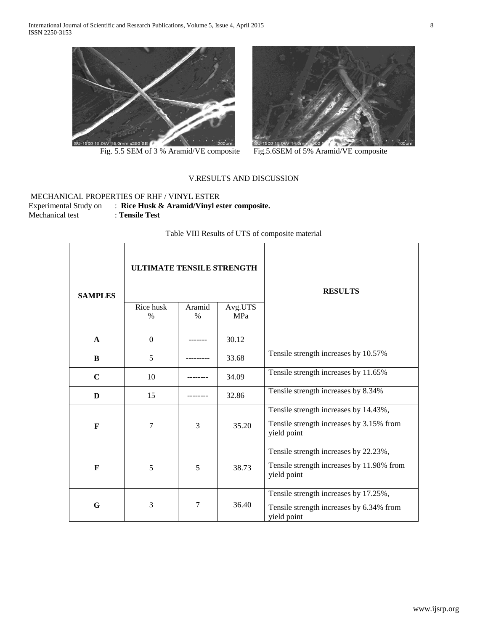

Fig. 5.5 SEM of 3 % Aramid/VE composite Fig. 5.6SEM of 5% Aramid/VE composite



## V.RESULTS AND DISCUSSION

## MECHANICAL PROPERTIES OF RHF / VINYL ESTER Experimental Study on : **Rice Husk & Aramid/Vinyl ester composite.**  Mechanical test : **Tensile Test**

## Table VIII Results of UTS of composite material

| <b>SAMPLES</b> | ULTIMATE TENSILE STRENGTH<br>Rice husk<br>$\%$ | Aramid<br>$\%$ | Avg.UTS<br><b>MPa</b> | <b>RESULTS</b>                                                                                    |
|----------------|------------------------------------------------|----------------|-----------------------|---------------------------------------------------------------------------------------------------|
| $\mathbf{A}$   | $\Omega$                                       |                | 30.12                 |                                                                                                   |
| B              | 5                                              |                | 33.68                 | Tensile strength increases by 10.57%                                                              |
| $\mathbf C$    | 10                                             |                | 34.09                 | Tensile strength increases by 11.65%                                                              |
| D              | 15                                             |                | 32.86                 | Tensile strength increases by 8.34%                                                               |
| F              | $\overline{7}$                                 | 3              | 35.20                 | Tensile strength increases by 14.43%,<br>Tensile strength increases by 3.15% from<br>yield point  |
| F              | 5                                              | 5              | 38.73                 | Tensile strength increases by 22.23%,<br>Tensile strength increases by 11.98% from<br>yield point |
| G              | 3                                              | 7              | 36.40                 | Tensile strength increases by 17.25%,<br>Tensile strength increases by 6.34% from<br>yield point  |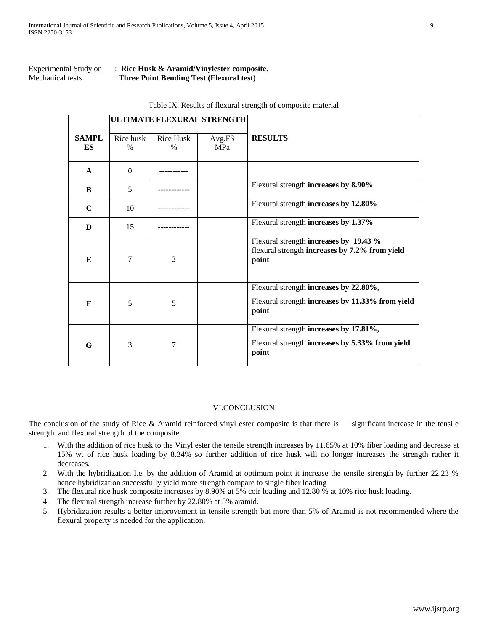## Experimental Study on : **Rice Husk & Aramid/Vinylester composite.**  Mechanical tests : T**hree Point Bending Test (Flexural test)**

|                    |                   |                   | ULTIMATE FLEXURAL STRENGTH |                                                                                                     |
|--------------------|-------------------|-------------------|----------------------------|-----------------------------------------------------------------------------------------------------|
| <b>SAMPL</b><br>ES | Rice husk<br>$\%$ | Rice Husk<br>$\%$ | Avg.FS<br><b>MPa</b>       | <b>RESULTS</b>                                                                                      |
| $\mathbf{A}$       | $\Omega$          |                   |                            |                                                                                                     |
| B                  | 5                 |                   |                            | Flexural strength increases by 8.90%                                                                |
| $\mathbf C$        | 10                |                   |                            | Flexural strength increases by 12.80%                                                               |
| D                  | 15                |                   |                            | Flexural strength increases by 1.37%                                                                |
| E                  | 7                 | 3                 |                            | Flexural strength increases by 19.43 %<br>flexural strength increases by 7.2% from yield<br>point   |
| F                  | 5                 | 5                 |                            | Flexural strength increases by 22.80%,<br>Flexural strength increases by 11.33% from yield<br>point |
| G                  | 3                 | 7                 |                            | Flexural strength increases by 17.81%,<br>Flexural strength increases by 5.33% from yield<br>point  |

#### Table IX. Results of flexural strength of composite material

## VI.CONCLUSION

The conclusion of the study of Rice & Aramid reinforced vinyl ester composite is that there is significant increase in the tensile strength and flexural strength of the composite.

- 1. With the addition of rice husk to the Vinyl ester the tensile strength increases by 11.65% at 10% fiber loading and decrease at 15% wt of rice husk loading by 8.34% so further addition of rice husk will no longer increases the strength rather it decreases.
- 2. With the hybridization I.e. by the addition of Aramid at optimum point it increase the tensile strength by further 22.23 % hence hybridization successfully yield more strength compare to single fiber loading
- 3. The flexural rice husk composite increases by 8.90% at 5% coir loading and 12.80 % at 10% rice husk loading.
- 4. The flexural strength increase further by 22.80% at 5% aramid.
- 5. Hybridization results a better improvement in tensile strength but more than 5% of Aramid is not recommended where the flexural property is needed for the application.